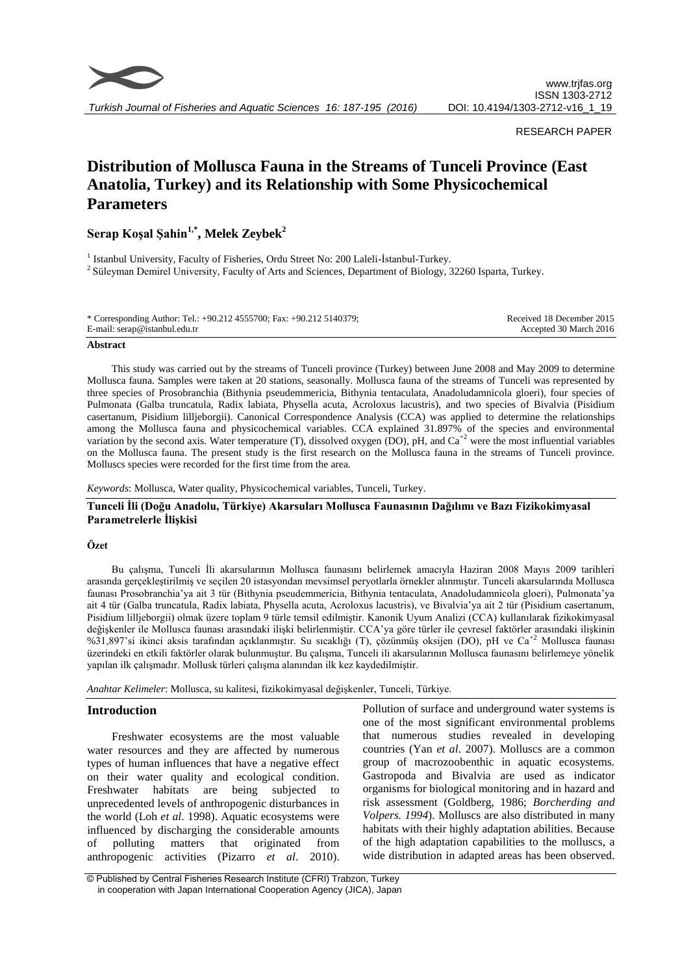

*Turkish Journal of Fisheries and Aquatic Sciences 16: 187-195 (2016)*

## RESEARCH PAPER

# **Distribution of Mollusca Fauna in the Streams of Tunceli Province (East Anatolia, Turkey) and its Relationship with Some Physicochemical Parameters**

**Serap Koşal Şahin1,\* , Melek Zeybek<sup>2</sup>**

<sup>1</sup> Istanbul University, Faculty of Fisheries, Ordu Street No: 200 Laleli-İstanbul-Turkey. <sup>2</sup> Süleyman Demirel University, Faculty of Arts and Sciences, Department of Biology, 32260 Isparta, Turkey.

| * Corresponding Author: Tel.: +90.212 4555700; Fax: +90.212 5140379; | Received 18 December 2015 |
|----------------------------------------------------------------------|---------------------------|
| E-mail: serap@istanbul.edu.tr                                        | Accepted 30 March 2016    |

#### **Abstract**

This study was carried out by the streams of Tunceli province (Turkey) between June 2008 and May 2009 to determine Mollusca fauna. Samples were taken at 20 stations, seasonally. Mollusca fauna of the streams of Tunceli was represented by three species of Prosobranchia (Bithynia pseudemmericia, Bithynia tentaculata, Anadoludamnicola gloeri), four species of Pulmonata (Galba truncatula, Radix labiata, Physella acuta, Acroloxus lacustris), and two species of Bivalvia (Pisidium casertanum, Pisidium lilljeborgii). Canonical Correspondence Analysis (CCA) was applied to determine the relationships among the Mollusca fauna and physicochemical variables. CCA explained 31.897% of the species and environmental variation by the second axis. Water temperature (T), dissolved oxygen (DO), pH, and Ca<sup>+2</sup> were the most influential variables on the Mollusca fauna. The present study is the first research on the Mollusca fauna in the streams of Tunceli province. Molluscs species were recorded for the first time from the area.

*Keywords*: Mollusca, Water quality, Physicochemical variables, Tunceli, Turkey.

## **Tunceli İli (Doğu Anadolu, Türkiye) Akarsuları Mollusca Faunasının Dağılımı ve Bazı Fizikokimyasal Parametrelerle İlişkisi**

## **Özet**

Bu çalışma, Tunceli İli akarsularının Mollusca faunasını belirlemek amacıyla Haziran 2008 Mayıs 2009 tarihleri arasında gerçekleştirilmiş ve seçilen 20 istasyondan mevsimsel peryotlarla örnekler alınmıştır. Tunceli akarsularında Mollusca faunası Prosobranchia'ya ait 3 tür (Bithynia pseudemmericia, Bithynia tentaculata, Anadoludamnicola gloeri), Pulmonata'ya ait 4 tür (Galba truncatula, Radix labiata, Physella acuta, Acroloxus lacustris), ve Bivalvia'ya ait 2 tür (Pisidium casertanum, Pisidium lilljeborgii) olmak üzere toplam 9 türle temsil edilmiştir. Kanonik Uyum Analizi (CCA) kullanılarak fizikokimyasal değişkenler ile Mollusca faunası arasındaki ilişki belirlenmiştir. CCA'ya göre türler ile çevresel faktörler arasındaki ilişkinin %31,897'si ikinci aksis tarafından açıklanmıştır. Su sıcaklığı (T), çözünmüş oksijen (DO), pH ve Ca+2 Mollusca faunası üzerindeki en etkili faktörler olarak bulunmuştur. Bu çalışma, Tunceli ili akarsularının Mollusca faunasını belirlemeye yönelik yapılan ilk çalışmadır. Mollusk türleri çalışma alanından ilk kez kaydedilmiştir.

*Anahtar Kelimeler*: Mollusca, su kalitesi, fizikokimyasal değişkenler, Tunceli, Türkiye.

## **Introduction**

Freshwater ecosystems are the most valuable water resources and they are affected by numerous types of human influences that have a negative effect on their water quality and ecological condition. Freshwater habitats are being subjected to unprecedented levels of anthropogenic disturbances in the world (Loh *et al*. 1998). Aquatic ecosystems were influenced by discharging the considerable amounts of polluting matters that originated from anthropogenic activities (Pizarro *et al*. 2010).

Pollution of surface and underground water systems is one of the most significant environmental problems that numerous studies revealed in developing countries (Yan *et al*. 2007). Molluscs are a common group of macrozoobenthic in aquatic ecosystems. Gastropoda and Bivalvia are used as indicator organisms for biological monitoring and in hazard and risk assessment (Goldberg, 1986; *Borcherding and Volpers. 1994*). Molluscs are also distributed in many habitats with their highly adaptation abilities. Because of the high adaptation capabilities to the molluscs, a wide distribution in adapted areas has been observed.

© Published by Central Fisheries Research Institute (CFRI) Trabzon, Turkey in cooperation with Japan International Cooperation Agency (JICA), Japan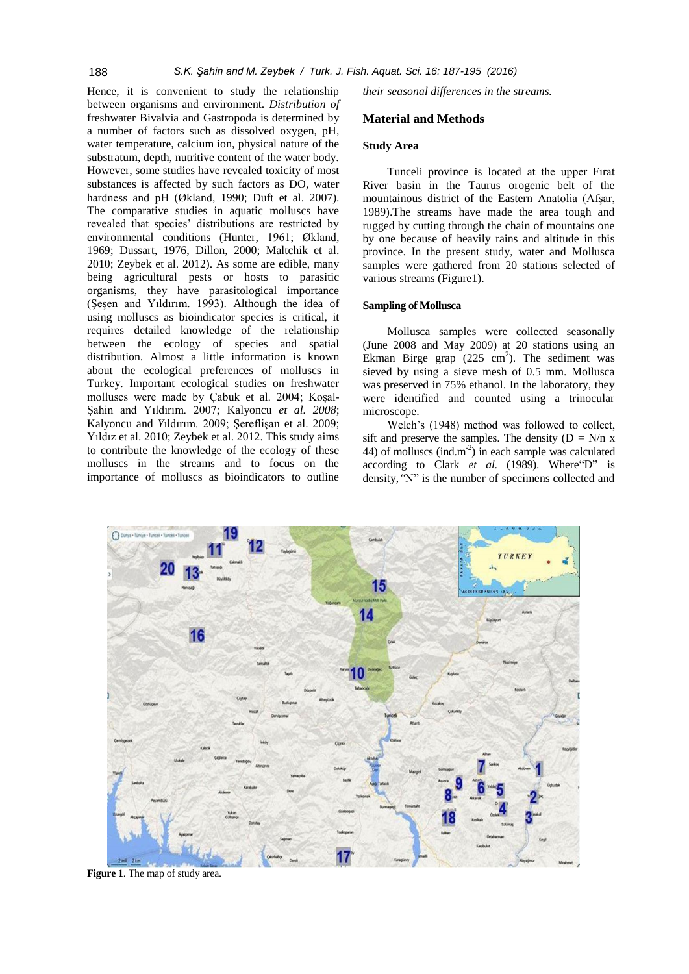Hence, it is convenient to study the relationship between organisms and environment. *Distribution of*  freshwater Bivalvia and Gastropoda is determined by a number of factors such as dissolved oxygen, pH, water temperature, calcium ion, physical nature of the substratum, depth, nutritive content of the water body. However, some studies have revealed toxicity of most substances is affected by such factors as DO, water hardness and pH (Økland*,* 1990; Duft et al. 2007). The comparative studies in aquatic molluscs have revealed that species' distributions are restricted by environmental conditions (Hunter*,* 1961; Økland*,* 1969; Dussart, 1976, Dillon, 2000; Maltchik et al. 2010; Zeybek et al. 2012). As some are edible, many being agricultural pests or hosts to parasitic organisms, they have parasitological importance (Şeşen and Yıldırım. 1993). Although the idea of using molluscs as bioindicator species is critical, it requires detailed knowledge of the relationship between the ecology of species and spatial distribution. Almost a little information is known about the ecological preferences of molluscs in Turkey. Important ecological studies on freshwater molluscs were made by Çabuk et al. 2004; Koşal-Şahin and Yıldırım. 2007; Kalyoncu *et al. 2008*; Kalyoncu and *Y*ıldırım. 2009; Şereflişan et al. 2009; Yıldız et al. 2010; Zeybek et al. 2012. This study aims to contribute the knowledge of the ecology of these molluscs in the streams and to focus on the importance of molluscs as bioindicators to outline

*their seasonal differences in the streams.* 

# **Material and Methods**

## **Study Area**

Tunceli province is located at the upper Fırat River basin in the Taurus orogenic belt of the mountainous district of the Eastern Anatolia (Afşar, 1989).The streams have made the area tough and rugged by cutting through the chain of mountains one by one because of heavily rains and altitude in this province. In the present study, water and Mollusca samples were gathered from 20 stations selected of various streams (Figure1).

#### **Sampling of Mollusca**

Mollusca samples were collected seasonally (June 2008 and May 2009) at 20 stations using an Ekman Birge grap  $(225 \text{ cm}^2)$ . The sediment was sieved by using a sieve mesh of 0.5 mm. Mollusca was preserved in 75% ethanol. In the laboratory, they were identified and counted using a trinocular microscope.

Welch's (1948) method was followed to collect, sift and preserve the samples. The density  $(D = N/n x)$ 44) of molluscs (ind.m<sup>-2</sup>) in each sample was calculated according to Clark *et al*. (1989). Where"D" is density,*"*N" is the number of specimens collected and



**Figure 1**. The map of study area.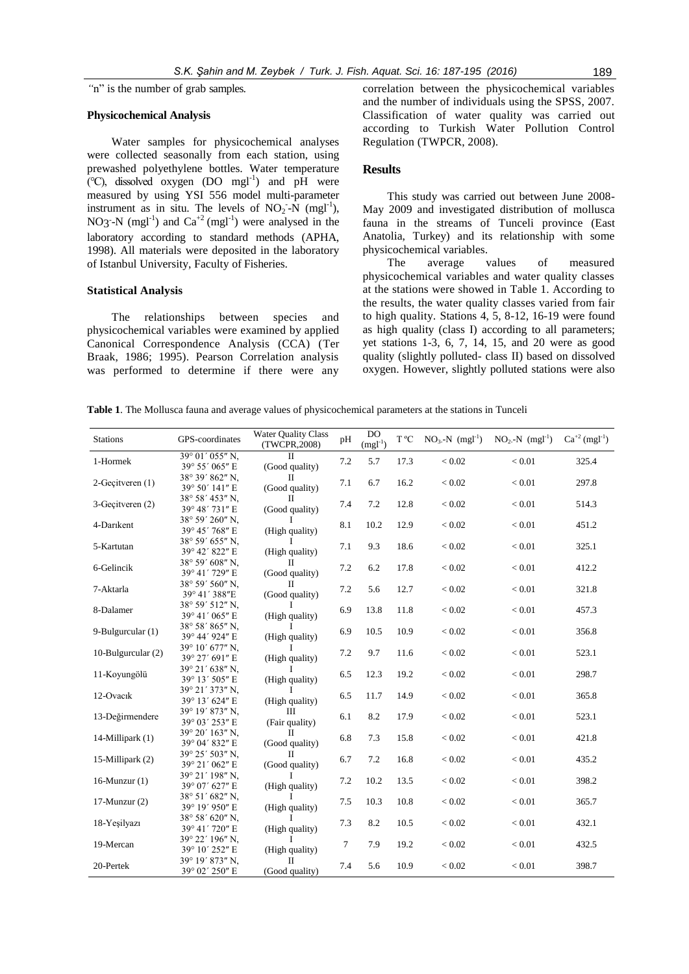*"*n" is the number of grab samples.

#### **Physicochemical Analysis**

Water samples for physicochemical analyses were collected seasonally from each station, using prewashed polyethylene bottles. Water temperature  $(\degree C)$ , dissolved oxygen (DO mgl<sup>-1</sup>) and pH were measured by using YSI 556 model multi-parameter instrument as in situ. The levels of  $NO<sub>2</sub>$ - $N$  (mgl<sup>-1</sup>), NO3<sup>-</sup>-N (mgl<sup>-1</sup>) and  $Ca^{+2}$  (mgl<sup>-1</sup>) were analysed in the laboratory according to standard methods (APHA, 1998). All materials were deposited in the laboratory of Istanbul University, Faculty of Fisheries.

#### **Statistical Analysis**

The relationships between species and physicochemical variables were examined by applied Canonical Correspondence Analysis (CCA) (Ter Braak, 1986; 1995). Pearson Correlation analysis was performed to determine if there were any correlation between the physicochemical variables and the number of individuals using the SPSS, 2007. Classification of water quality was carried out according to Turkish Water Pollution Control Regulation (TWPCR, 2008).

## **Results**

This study was carried out between June 2008- May 2009 and investigated distribution of mollusca fauna in the streams of Tunceli province (East Anatolia, Turkey) and its relationship with some physicochemical variables.

The average values of measured physicochemical variables and water quality classes at the stations were showed in Table 1. According to the results, the water quality classes varied from fair to high quality. Stations 4, 5, 8-12, 16-19 were found as high quality (class I) according to all parameters; yet stations 1-3, 6, 7, 14, 15, and 20 were as good quality (slightly polluted- class II) based on dissolved oxygen. However, slightly polluted stations were also

**Table 1**. The Mollusca fauna and average values of physicochemical parameters at the stations in Tunceli

| <b>Stations</b>    | GPS-coordinates                   | <b>Water Ouality Class</b><br>DO<br>T °C<br>$NO3-N$ (mgl <sup>-1</sup> )<br>pH<br>$(mgl^{-1})$<br>(TWCPR, 2008) |                | $NO_2-N$ (mgl <sup>-1</sup> ) | $Ca^{+2} (mgl^{-1})$ |          |        |       |
|--------------------|-----------------------------------|-----------------------------------------------------------------------------------------------------------------|----------------|-------------------------------|----------------------|----------|--------|-------|
| 1-Hormek           | 39° 01' 055" N.<br>39° 55' 065" E | $_{\rm II}$<br>(Good quality)                                                                                   | 7.2            | 5.7                           | 17.3                 | $< 0.02$ | < 0.01 | 325.4 |
| 2-Geçitveren (1)   | 38° 39′ 862″ N.<br>39° 50' 141" E | $_{\rm II}$<br>(Good quality)                                                                                   | 7.1            | 6.7                           | 16.2                 | < 0.02   | < 0.01 | 297.8 |
| 3-Geçitveren (2)   | 38° 58′ 453″ N.<br>39° 48' 731" E | $\Pi$<br>(Good quality)                                                                                         | 7.4            | 7.2                           | 12.8                 | < 0.02   | < 0.01 | 514.3 |
| 4-Darikent         | 38° 59' 260" N.<br>39° 45' 768" E | (High quality)                                                                                                  | 8.1            | 10.2                          | 12.9                 | < 0.02   | < 0.01 | 451.2 |
| 5-Kartutan         | 38° 59' 655" N.<br>39° 42' 822" E | (High quality)                                                                                                  | 7.1            | 9.3                           | 18.6                 | < 0.02   | < 0.01 | 325.1 |
| 6-Gelincik         | 38° 59′ 608″ N.<br>39° 41' 729" E | $_{\rm II}$<br>(Good quality)                                                                                   | 7.2            | 6.2                           | 17.8                 | < 0.02   | < 0.01 | 412.2 |
| 7-Aktarla          | 38° 59' 560" N.<br>39° 41′ 388"E  | $_{\rm II}$<br>(Good quality)                                                                                   | 7.2            | 5.6                           | 12.7                 | < 0.02   | < 0.01 | 321.8 |
| 8-Dalamer          | 38° 59' 512" N.<br>39° 41′ 065" E | Ι.<br>(High quality)                                                                                            | 6.9            | 13.8                          | 11.8                 | < 0.02   | < 0.01 | 457.3 |
| 9-Bulgurcular (1)  | 38° 58' 865" N,<br>39° 44' 924" E | (High quality)                                                                                                  | 6.9            | 10.5                          | 10.9                 | < 0.02   | < 0.01 | 356.8 |
| 10-Bulgurcular (2) | 39° 10' 677" N.<br>39° 27' 691" E | L<br>(High quality)                                                                                             | 7.2            | 9.7                           | 11.6                 | < 0.02   | < 0.01 | 523.1 |
| 11-Kovungölü       | 39° 21′ 638″ N.<br>39° 13' 505" E | I<br>(High quality)                                                                                             | 6.5            | 12.3                          | 19.2                 | < 0.02   | < 0.01 | 298.7 |
| 12-Ovacık          | 39° 21′ 373″ N.<br>39° 13' 624" E | L<br>(High quality)                                                                                             | 6.5            | 11.7                          | 14.9                 | < 0.02   | < 0.01 | 365.8 |
| 13-Değirmendere    | 39° 19' 873" N.<br>39° 03′ 253″ E | Ш<br>(Fair quality)                                                                                             | 6.1            | 8.2                           | 17.9                 | < 0.02   | < 0.01 | 523.1 |
| 14-Millipark (1)   | 39° 20′ 163″ N.<br>39° 04' 832" E | $_{\rm II}$<br>(Good quality)                                                                                   | 6.8            | 7.3                           | 15.8                 | < 0.02   | < 0.01 | 421.8 |
| 15-Millipark (2)   | 39° 25' 503" N,<br>39° 21' 062" E | $_{\rm II}$<br>(Good quality)                                                                                   | 6.7            | 7.2                           | 16.8                 | < 0.02   | < 0.01 | 435.2 |
| 16-Munzur $(1)$    | 39° 21' 198" N.<br>39° 07' 627" E | L<br>(High quality)                                                                                             | 7.2            | 10.2                          | 13.5                 | < 0.02   | < 0.01 | 398.2 |
| $17$ -Munzur $(2)$ | 38° 51' 682" N.<br>39° 19' 950" E | I<br>(High quality)                                                                                             | 7.5            | 10.3                          | 10.8                 | < 0.02   | < 0.01 | 365.7 |
| 18-Yeşilyazı       | 38° 58′ 620″ N.<br>39° 41' 720" E | (High quality)                                                                                                  | 7.3            | 8.2                           | 10.5                 | < 0.02   | < 0.01 | 432.1 |
| 19-Mercan          | 39° 22' 196" N,<br>39° 10' 252" E | T<br>(High quality)                                                                                             | $\overline{7}$ | 7.9                           | 19.2                 | < 0.02   | < 0.01 | 432.5 |
| 20-Pertek          | 39° 19' 873" N.<br>39° 02' 250" E | П<br>(Good quality)                                                                                             | 7.4            | 5.6                           | 10.9                 | < 0.02   | < 0.01 | 398.7 |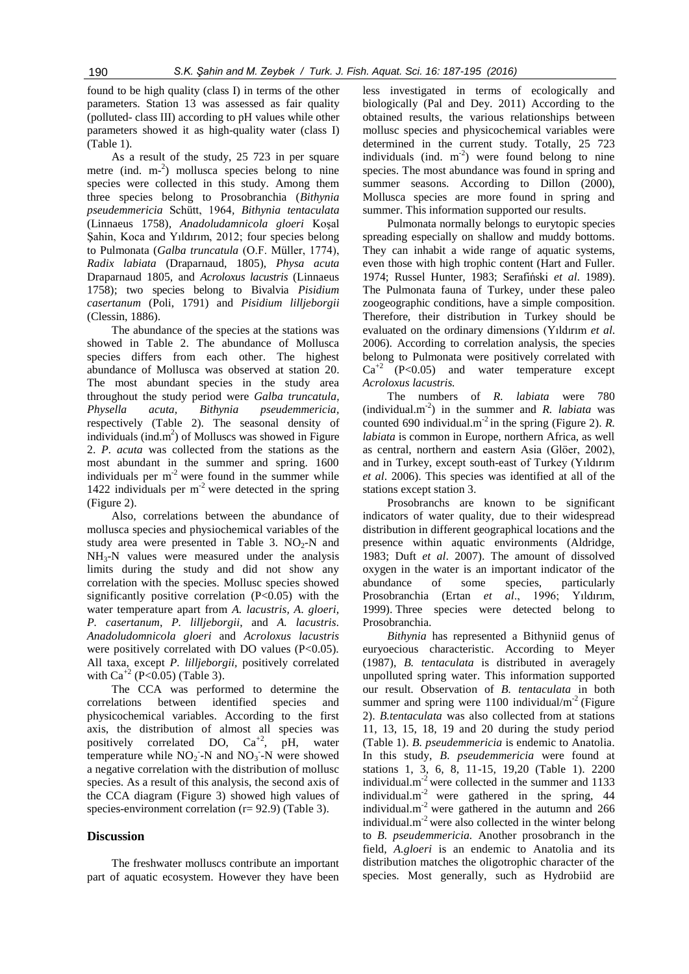found to be high quality (class I) in terms of the other parameters. Station 13 was assessed as fair quality (polluted- class III) according to pH values while other parameters showed it as high-quality water (class I) (Table 1).

As a result of the study, 25 723 in per square metre (ind. m<sup>-2</sup>) mollusca species belong to nine species were collected in this study. Among them three species belong to Prosobranchia (*Bithynia pseudemmericia* Schütt, 1964*, Bithynia tentaculata*  (Linnaeus 1758)*, Anadoludamnicola gloeri* Koşal Sahin, Koca and Yıldırım, 2012; four species belong to Pulmonata (*Galba truncatula* (O.F. Müller, 1774), *Radix labiata* (Draparnaud, 1805), *Physa acuta*  Draparnaud 1805*,* and *Acroloxus lacustris* (Linnaeus 1758); two species belong to Bivalvia *Pisidium casertanum* (Poli, 1791) and *Pisidium lilljeborgii*  (Clessin, 1886).

The abundance of the species at the stations was showed in Table 2. The abundance of Mollusca species differs from each other. The highest abundance of Mollusca was observed at station 20. The most abundant species in the study area throughout the study period were *Galba truncatula, Physella acuta, Bithynia pseudemmericia,*  respectively (Table 2). The seasonal density of individuals (ind.m<sup>2</sup>) of Molluscs was showed in Figure 2. *P. acuta* was collected from the stations as the most abundant in the summer and spring. 1600 individuals per  $m<sup>-2</sup>$  were found in the summer while 1422 individuals per  $m<sup>2</sup>$  were detected in the spring (Figure 2).

Also, correlations between the abundance of mollusca species and physiochemical variables of the study area were presented in Table 3.  $NO<sub>2</sub>-N$  and  $NH<sub>3</sub>-N$  values were measured under the analysis limits during the study and did not show any correlation with the species. Mollusc species showed significantly positive correlation  $(P<0.05)$  with the water temperature apart from *A. lacustris, A. gloeri, P. casertanum*, *P. lilljeborgii*, and *A. lacustris. Anadoludomnicola gloeri* and *Acroloxus lacustris*  were positively correlated with DO values (P<0.05). All taxa, except *P. lilljeborgii,* positively correlated with  $Ca^{+2}$  (P<0.05) (Table 3).

The CCA was performed to determine the correlations between identified species and physicochemical variables. According to the first axis, the distribution of almost all species was positively correlated DO,  $Ca^{+2}$ , pH, water temperature while  $NO<sub>2</sub> - N$  and  $NO<sub>3</sub> - N$  were showed a negative correlation with the distribution of mollusc species. As a result of this analysis, the second axis of the CCA diagram (Figure 3) showed high values of species-environment correlation (r= 92.9) (Table 3).

## **Discussion**

The freshwater molluscs contribute an important part of aquatic ecosystem. However they have been

less investigated in terms of ecologically and biologically (Pal and Dey. 2011) According to the obtained results, the various relationships between mollusc species and physicochemical variables were determined in the current study. Totally, 25 723 individuals (ind.  $m^{-2}$ ) were found belong to nine species. The most abundance was found in spring and summer seasons. According to Dillon (2000), Mollusca species are more found in spring and summer. This information supported our results.

Pulmonata normally belongs to eurytopic species spreading especially on shallow and muddy bottoms. They can inhabit a wide range of aquatic systems, even those with high trophic content (Hart and Fuller. 1974; Russel Hunter, 1983; Serafiński *et al*. 1989). The Pulmonata fauna of Turkey, under these paleo zoogeographic conditions, have a simple composition. Therefore, their distribution in Turkey should be evaluated on the ordinary dimensions (Yıldırım *et al*. 2006). According to correlation analysis, the species belong to Pulmonata were positively correlated with  $Ca^{+2}$  (P<0.05) and water temperature except *Acroloxus lacustris.*

The numbers of *R. labiata* were 780  $(\text{individual.m}^2)$  in the summer and *R. labiata* was counted 690 individual.m<sup>-2</sup> in the spring (Figure 2). *R*. *labiata* is common in Europe, northern Africa, as well as central, northern and eastern Asia (Glöer, 2002), and in Turkey, except south-east of Turkey (Yıldırım *et al*. 2006). This species was identified at all of the stations except station 3.

Prosobranchs are known to be significant indicators of water quality, due to their widespread distribution in different geographical locations and the presence within aquatic environments (Aldridge, 1983; Duft *et al*. 2007). The amount of dissolved oxygen in the water is an important indicator of the abundance of some species, particularly Prosobranchia (Ertan *et al*., 1996; Yıldırım, 1999). Three species were detected belong to Prosobranchia.

*Bithynia* has represented a Bithyniid genus of euryoecious characteristic. According to Meyer (1987), *B. tentaculata* is distributed in averagely unpolluted spring water. This information supported our result. Observation of *B. tentaculata* in both summer and spring were  $1100$  individual/m<sup>-2</sup> (Figure 2). *B.tentaculata* was also collected from at stations 11, 13, 15, 18, 19 and 20 during the study period (Table 1). *B. pseudemmericia* is endemic to Anatolia. In this study, *B. pseudemmericia* were found at stations 1, 3, 6, 8, 11-15, 19,20 (Table 1). 2200 individual. $m<sup>2</sup>$  were collected in the summer and 1133 individual.m-2 were gathered in the spring, 44 individual.m<sup>-2</sup> were gathered in the autumn and  $266$ individual. $m^{-2}$  were also collected in the winter belong to *B. pseudemmericia.* Another prosobranch in the field, *A.gloeri* is an endemic to Anatolia and its distribution matches the oligotrophic character of the species. Most generally, such as Hydrobiid are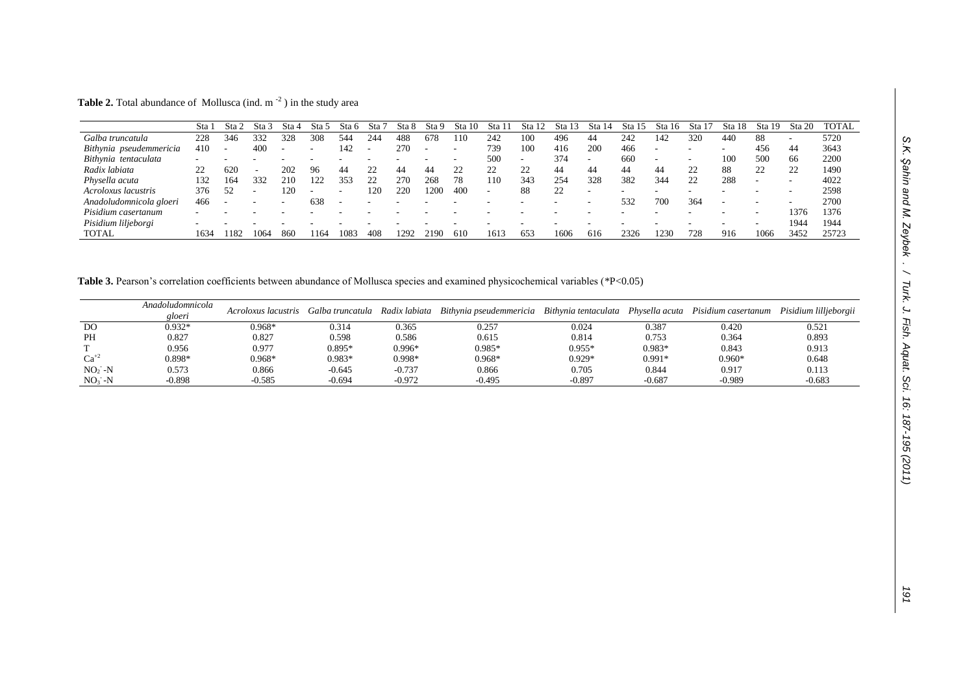**Table 2.** Total abundance of Mollusca (ind.  $m^{-2}$ ) in the study area

|                            | <b>Sta</b> | Sta  | Sta  | Sta 4                    | Sta  | Sta 6 | Sta | Sta 8 | Sta 9 | Sta<br>- 10 | Sta 11 | <b>Sta</b>               | Sta 12 | Sta        | Sta  | Sta 16 | Sta | Sta | Sta 19   | Sta 20 | <b>TOTAL</b> |
|----------------------------|------------|------|------|--------------------------|------|-------|-----|-------|-------|-------------|--------|--------------------------|--------|------------|------|--------|-----|-----|----------|--------|--------------|
| Galba truncatula           | 228        | 346  | 332  | 328                      | 308  | 544   | 244 | 488   | 678   | 110         | 242    | 100                      | 496    | 44         | 242  | 142    | 320 | 440 | 88       |        | 5720         |
| Bithynia pseudemmericia    | 410        |      | 400  | $\overline{\phantom{a}}$ |      | 142   |     | 270   |       |             | 739    | 100                      | 416    | <b>200</b> | 466  |        |     |     | 456      | 44     | 3643         |
| Bithynia tentaculata       |            |      |      |                          |      |       |     |       |       |             | 500    | $\overline{\phantom{a}}$ | 374    |            | 660  |        |     | 100 | 500      | 66     | 2200         |
| Radix labiata              | 22         | 620  | -    | 202                      | 96   | 44    | 22  | 44    | 44    | 22          | າາ     | 22                       | 44     | 44         | 44   | 44     | 22  | 88  | າາ<br>∠∠ | 22     | 1490         |
| Physella acuta             | 132        | 164  | 332  | 210                      | 122  | 353   | 22  | 270   | 268   | 78          | 110    | 343                      | 254    | 328        | 382  | 344    | 22  | 288 |          |        | 4022         |
| <i>Acroloxus lacustris</i> | 376        | 52   |      | 120                      |      |       | 120 | 220   | 1200  | 400         |        | 88                       | 22     |            |      |        |     |     |          |        | 2598         |
| Anadoludomnicola gloeri    | 466        |      |      |                          | 638  |       |     |       |       |             |        |                          |        |            | 532  | 700    | 364 |     |          |        | 2700         |
| Pisidium casertanum        |            |      |      |                          |      |       |     |       |       |             |        |                          |        |            |      |        |     |     | -        | 1376   | 1376         |
| Pisidium liljeborgi        |            |      |      |                          |      |       |     |       |       |             |        |                          |        |            |      |        |     |     |          | 1944   | 1944         |
| <b>TOTAL</b>               | 1634       | 1182 | 1064 | 860                      | 1164 | 108   | 408 | .292  | 2190  | 610         | 1613   | 653                      | 1606   | 616        | 2326 | 1230   | 728 | 916 | 1066     | 3452   | 25723        |

Table 3. Pearson's correlation coefficients between abundance of Mollusca species and examined physicochemical variables (\*P<0.05)

|                | Anadoludomnicola<br>gloeri | Acroloxus lacustris | Galba truncatula | Radix labiata | Bithynia pseudemmericia Bithynia tentaculata Physella acuta |          |          | Pisidium casertanum | Pisidium lilljeborgii |
|----------------|----------------------------|---------------------|------------------|---------------|-------------------------------------------------------------|----------|----------|---------------------|-----------------------|
| D <sub>O</sub> | $0.932*$                   | 0.968*              | 0.314            | 0.365         | 0.257                                                       | 0.024    | 0.387    | 0.420               | 0.521                 |
| PH             | 0.827                      | 0.827               | 0.598            | 0.586         | 0.615                                                       | 0.814    | 0.753    | 0.364               | 0.893                 |
|                | 0.956                      | 0.977               | $0.895*$         | $0.996*$      | $0.985*$                                                    | $0.955*$ | $0.983*$ | 0.843               | 0.913                 |
| $Ca^{+2}$      | 0.898*                     | $0.968*$            | $0.983*$         | 0.998*        | $0.968*$                                                    | $0.929*$ | $0.991*$ | $0.960*$            | 0.648                 |
| $NO2 - N$      | 0.573                      | 0.866               | $-0.645$         | $-0.737$      | 0.866                                                       | 0.705    | 0.844    | 0.917               | 0.113                 |
| $NO3 - N$      | $-0.898$                   | $-0.585$            | -0.694           | $-0.972$      | $-0.495$                                                    | $-0.897$ | $-0.687$ | $-0.989$            | $-0.683$              |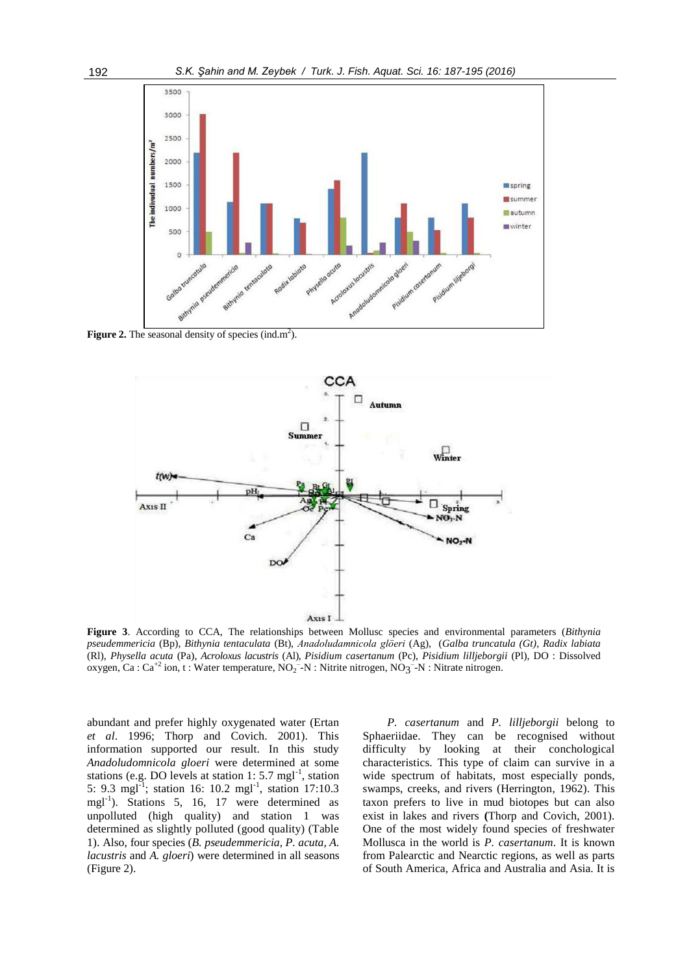

**Figure 2.** The seasonal density of species (ind.m<sup>2</sup>).



**Figure 3**. According to CCA, The relationships between Mollusc species and environmental parameters (*Bithynia pseudemmericia* (Bp), *Bithynia tentaculata* (Bt), *Anadoludamnicola glöeri* (Ag), (*Galba truncatula (Gt)*, *Radix labiata* (Rl), *Physella acuta* (Pa), *Acroloxus lacustris* (Al), *Pisidium casertanum* (Pc), *Pisidium lilljeborgii* (Pl), DO : Dissolved oxygen, Ca : Ca<sup>+2</sup> ion, t : Water temperature,  $NO_2^-$ -N : Nitrite nitrogen,  $NO_3^-$ -N : Nitrate nitrogen.

abundant and prefer highly oxygenated water (Ertan *et al*. 1996; Thorp and Covich. 2001). This information supported our result. In this study *Anadoludomnicola gloeri* were determined at some stations (e.g. DO levels at station  $1: 5.7$  mgl<sup>-1</sup>, station 5: 9.3 mgl<sup>-1</sup>; station 16: 10.2 mgl<sup>-1</sup>, station 17:10.3 mgl<sup>-1</sup>). Stations 5, 16, 17 were determined as unpolluted (high quality) and station 1 was determined as slightly polluted (good quality) (Table 1). Also, four species (*B. pseudemmericia, P. acuta, A. lacustris* and *A. gloeri*) were determined in all seasons (Figure 2).

*P. casertanum* and *P. lilljeborgii* belong to Sphaeriidae. They can be recognised without difficulty by looking at their conchological characteristics. This type of claim can survive in a wide spectrum of habitats, most especially ponds, swamps, creeks, and rivers (Herrington, 1962). This taxon prefers to live in mud biotopes but can also exist in lakes and rivers **(**Thorp and Covich, 2001). One of the most widely found species of freshwater Mollusca in the world is *P. casertanum*. It is known from Palearctic and Nearctic regions, as well as parts of South America, Africa and Australia and Asia. It is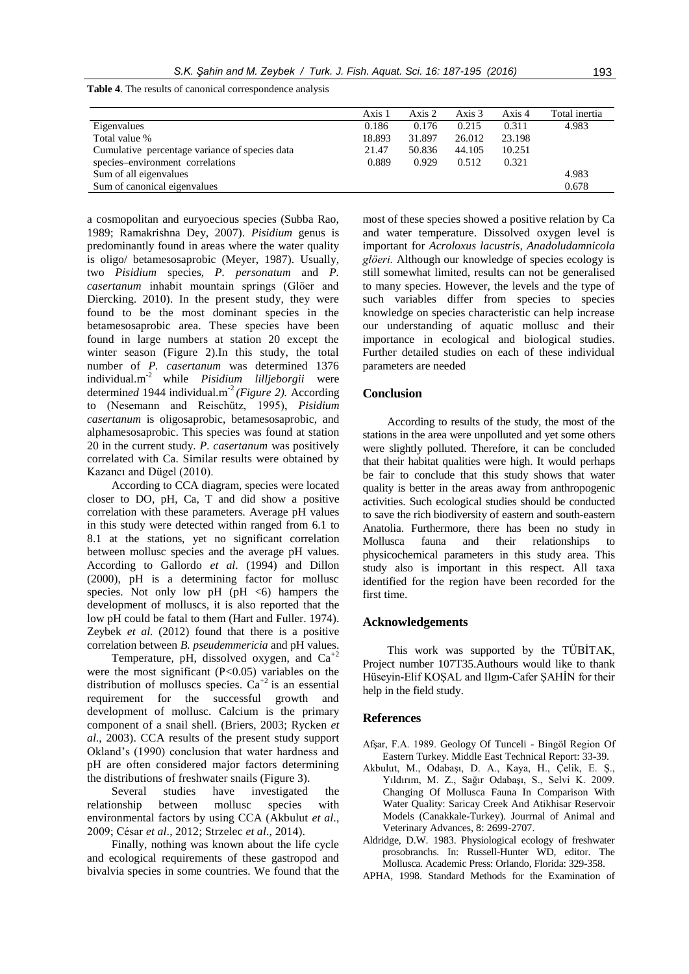|                                                | Axis 1 | Axis 2 | Axis 3 | Axis 4 | Total inertia |
|------------------------------------------------|--------|--------|--------|--------|---------------|
| Eigenvalues                                    | 0.186  | 0.176  | 0.215  | 0.311  | 4.983         |
| Total value %                                  | 18.893 | 31.897 | 26.012 | 23.198 |               |
| Cumulative percentage variance of species data | 21.47  | 50.836 | 44.105 | 10.251 |               |
| species-environment correlations               | 0.889  | 0.929  | 0.512  | 0.321  |               |
| Sum of all eigenvalues                         |        |        |        |        | 4.983         |
| Sum of canonical eigenvalues                   |        |        |        |        | 0.678         |

**Table 4**. The results of canonical correspondence analysis

a cosmopolitan and euryoecious species (Subba Rao, 1989; Ramakrishna Dey, 2007). *Pisidium* genus is predominantly found in areas where the water quality is oligo/ betamesosaprobic (Meyer, 1987). Usually, two *Pisidium* species, *P. personatum* and *P. casertanum* inhabit mountain springs (Glöer and Diercking. 2010). In the present study, they were found to be the most dominant species in the betamesosaprobic area. These species have been found in large numbers at station 20 except the winter season (Figure 2).In this study, the total number of *P. casertanum* was determined 1376 individual.m-2 while *Pisidium lilljeborgii* were determined 1944 individual.m<sup>-2</sup> (Figure 2). According to (Nesemann and Reischütz, 1995), *Pisidium casertanum* is oligosaprobic, betamesosaprobic, and alphamesosaprobic. This species was found at station 20 in the current study. *P. casertanum* was positively correlated with Ca. Similar results were obtained by Kazancı and Dügel (2010).

According to CCA diagram, species were located closer to DO, pH, Ca, T and did show a positive correlation with these parameters. Average pH values in this study were detected within ranged from 6.1 to 8.1 at the stations, yet no significant correlation between mollusc species and the average pH values. According to Gallordo *et al*. (1994) and Dillon (2000), pH is a determining factor for mollusc species. Not only low  $pH$  ( $pH \leq 6$ ) hampers the development of molluscs, it is also reported that the low pH could be fatal to them (Hart and Fuller. 1974). Zeybek *et al*. (2012) found that there is a positive correlation between *B. pseudemmericia* and pH values.

Temperature, pH, dissolved oxygen, and  $Ca^{+2}$ were the most significant  $(P<0.05)$  variables on the distribution of molluscs species.  $Ca^{+2}$  is an essential requirement for the successful growth and development of mollusc. Calcium is the primary component of a snail shell. (Briers, 2003; Rycken *et al*., 2003). CCA results of the present study support Okland's (1990) conclusion that water hardness and pH are often considered major factors determining the distributions of freshwater snails (Figure 3).

Several studies have investigated the relationship between mollusc species with environmental factors by using CCA (Akbulut *et al*., 2009; César *et al*., 2012; Strzelec *et al*., 2014).

Finally, nothing was known about the life cycle and ecological requirements of these gastropod and bivalvia species in some countries. We found that the most of these species showed a positive relation by Ca and water temperature. Dissolved oxygen level is important for *Acroloxus lacustris, Anadoludamnicola glöeri.* Although our knowledge of species ecology is still somewhat limited, results can not be generalised to many species. However, the levels and the type of such variables differ from species to species knowledge on species characteristic can help increase our understanding of aquatic mollusc and their importance in ecological and biological studies. Further detailed studies on each of these individual parameters are needed

## **Conclusion**

According to results of the study, the most of the stations in the area were unpolluted and yet some others were slightly polluted. Therefore, it can be concluded that their habitat qualities were high. It would perhaps be fair to conclude that this study shows that water quality is better in the areas away from anthropogenic activities. Such ecological studies should be conducted to save the rich biodiversity of eastern and south-eastern Anatolia. Furthermore, there has been no study in Mollusca fauna and their relationships to physicochemical parameters in this study area. This study also is important in this respect. All taxa identified for the region have been recorded for the first time.

#### **Acknowledgements**

This work was supported by the TÜBİTAK, Project number 107T35.Authours would like to thank Hüseyin-Elif KOŞAL and Ilgım-Cafer ŞAHİN for their help in the field study.

#### **References**

- Afşar, F.A. 1989. Geology Of Tunceli Bingöl Region Of Eastern Turkey. Middle East Technical Report: 33-39.
- Akbulut, M., Odabaşı, D. A., Kaya, H., Çelik, E. Ş., Yıldırım, M. Z., Sağır Odabaşı, S., Selvi K. 2009. Changing Of Mollusca Fauna In Comparison With Water Quality: Saricay Creek And Atikhisar Reservoir Models (Canakkale-Turkey). Jourrnal of Animal and Veterinary Advances, 8: 2699-2707.
- Aldridge, D.W. 1983. Physiological ecology of freshwater prosobranchs. In: Russell-Hunter WD, editor. The Mollusca*.* Academic Press: Orlando, Florida: 329-358.
- APHA, 1998. Standard Methods for the Examination of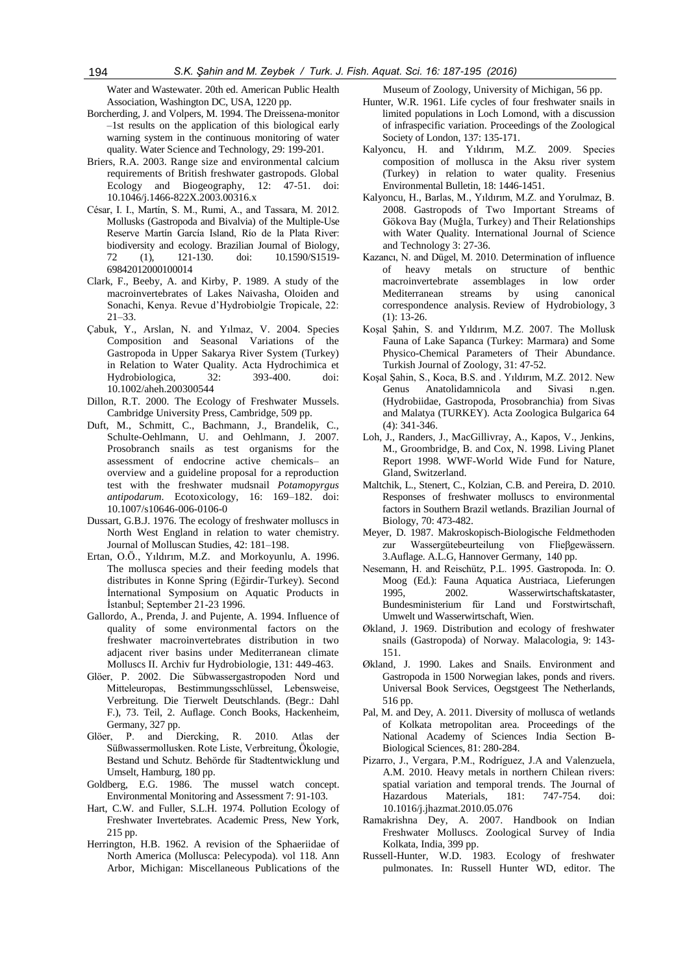Water and Wastewater. 20th ed. American Public Health Association, Washington DC, USA, 1220 pp.

- Borcherding, J. and Volpers, M. 1994. The Dreissena-monitor –1st results on the application of this biological early warning system in the continuous monitoring of water quality. Water Science and Technology, 29: 199-201.
- Briers, R.A. 2003. Range size and environmental calcium requirements of British freshwater gastropods. Global Ecology and Biogeography, 12: 47-51. doi: 10.1046/j.1466-822X.2003.00316.x
- César, I. I., Martín, S. M., Rumi, A., and Tassara, M. 2012. Mollusks (Gastropoda and Bivalvia) of the Multiple-Use Reserve Martín García Island, Río de la Plata River: biodiversity and ecology. Brazilian Journal of Biology, 72 (1), 121-130. doi: 10.1590/S1519- 69842012000100014
- Clark, F., Beeby, A. and Kirby, P. 1989. A study of the macroinvertebrates of Lakes Naivasha, Oloiden and Sonachi, Kenya. Revue d'Hydrobiolgie Tropicale, 22: 21–33.
- Çabuk, Y., Arslan, N. and Yılmaz, V. 2004. Species Composition and Seasonal Variations of the Gastropoda in Upper Sakarya River System (Turkey) in Relation to Water Quality. Acta Hydrochimica et Hydrobiologica, 32: 393-400. doi: 10.1002/aheh.200300544
- Dillon, R.T. 2000. The Ecology of Freshwater Mussels. Cambridge University Press, Cambridge, 509 pp.
- Duft, M., Schmitt, C., Bachmann, J., Brandelik, C., Schulte-Oehlmann, U. and Oehlmann, J. 2007. Prosobranch snails as test organisms for the assessment of endocrine active chemicals– an overview and a guideline proposal for a reproduction test with the freshwater mudsnail *Potamopyrgus antipodarum*. Ecotoxicology, 16: 169–182. doi: 10.1007/s10646-006-0106-0
- Dussart, G.B.J. 1976. The ecology of freshwater molluscs in North West England in relation to water chemistry. Journal of Molluscan Studies, 42: 181–198.
- Ertan, O.Ö., Yıldırım, M.Z. and Morkoyunlu, A. 1996. The mollusca species and their feeding models that distributes in Konne Spring (Eğirdir-Turkey). Second İnternational Symposium on Aquatic Products in İstanbul; September 21-23 1996.
- Gallordo, A., Prenda, J. and Pujente, A. 1994. Influence of quality of some environmental factors on the freshwater macroinvertebrates distribution in two adjacent river basins under Mediterranean climate Molluscs II. Archiv fur Hydrobiologie, 131: 449-463.
- Glöer, P. 2002. Die Sübwassergastropoden Nord und Mitteleuropas, Bestimmungsschlüssel, Lebensweise, Verbreitung. Die Tierwelt Deutschlands. (Begr.: Dahl F.), 73. Teil, 2. Auflage. Conch Books, Hackenheim, Germany, 327 pp.
- Glöer, P. and Diercking, R. 2010. Atlas der Süßwassermollusken. Rote Liste, Verbreitung, Ökologie, Bestand und Schutz. Behörde für Stadtentwicklung und Umselt, Hamburg, 180 pp.
- Goldberg, E.G. 1986. The mussel watch concept. Environmental Monitoring and Assessment 7: 91-103.
- Hart, C.W. and Fuller, S.L.H. 1974. Pollution Ecology of Freshwater Invertebrates. Academic Press, New York, 215 pp.
- Herrington, H.B. 1962. A revision of the Sphaeriidae of North America (Mollusca: Pelecypoda). vol 118. Ann Arbor, Michigan: Miscellaneous Publications of the

Museum of Zoology, University of Michigan, 56 pp.

- Hunter, W.R. 1961. Life cycles of four freshwater snails in limited populations in Loch Lomond, with a discussion of infraspecific variation. Proceedings of the Zoological Society of London, 137: 135-171.
- Kalyoncu, H. and Yıldırım, M.Z. 2009. Species composition of mollusca in the Aksu river system (Turkey) in relation to water quality. Fresenius Environmental Bulletin, 18: 1446-1451.
- Kalyoncu, H., Barlas, M., Yıldırım, M.Z. and Yorulmaz, B. 2008. Gastropods of Two Important Streams of Gökova Bay (Muğla, Turkey) and Their Relationships with Water Quality. International Journal of Science and Technology 3: 27-36.
- Kazancı, N. and Dügel, M. 2010. Determination of influence of heavy metals on structure of benthic macroinvertebrate assemblages in low order Mediterranean streams by using canonical correspondence analysis. Review of Hydrobiology, 3  $(1): 13-26.$
- Koşal Şahin, S. and Yıldırım, M.Z. 2007. The Mollusk Fauna of Lake Sapanca (Turkey: Marmara) and Some Physico-Chemical Parameters of Their Abundance. Turkish Journal of Zoology, 31: 47-52.
- Koşal Şahin, S., Koca, B.S. and . Yıldırım, M.Z. 2012. New Genus Anatolidamnicola and Sivasi n.gen. (Hydrobiidae, Gastropoda, Prosobranchia) from Sivas and Malatya (TURKEY). Acta Zoologica Bulgarica 64 (4): 341-346.
- Loh, J., Randers, J., MacGillivray, A., Kapos, V., Jenkins, M., Groombridge, B. and Cox, N. 1998. Living Planet Report 1998. WWF-World Wide Fund for Nature, Gland, Switzerland.
- Maltchik, L., Stenert, C., Kolzian, C.B. and Pereira, D. 2010. Responses of freshwater molluscs to environmental factors in Southern Brazil wetlands. Brazilian Journal of Biology, 70: 473-482.
- Meyer, D. 1987. Makroskopisch-Biologische Feldmethoden zur Wassergütebeurteilung von Flieβgewässern. 3.Auflage. A.L.G, Hannover Germany, 140 pp.
- Nesemann, H. and Reischütz, P.L. 1995. Gastropoda. In: O. Moog (Ed.): Fauna Aquatica Austriaca, Lieferungen 1995, 2002. Wasserwirtschaftskataster, Bundesministerium für Land und Forstwirtschaft, Umwelt und Wasserwirtschaft, Wien.
- Økland, J. 1969. Distribution and ecology of freshwater snails (Gastropoda) of Norway. Malacologia, 9: 143- 151.
- Økland, J. 1990. Lakes and Snails. Environment and Gastropoda in 1500 Norwegian lakes, ponds and rivers. Universal Book Services, Oegstgeest The Netherlands, 516 pp.
- Pal, M. and Dey, A. 2011. Diversity of mollusca of wetlands of Kolkata metropolitan area. Proceedings of the National Academy of Sciences India Section B-Biological Sciences, 81: 280-284.
- Pizarro, J., Vergara, P.M., Rodríguez, J.A and Valenzuela, A.M. 2010. Heavy metals in northern Chilean rivers: spatial variation and temporal trends. The Journal of Hazardous Materials, 181: 747-754. doi: 10.1016/j.jhazmat.2010.05.076
- Ramakrishna Dey, A. 2007. Handbook on Indian Freshwater Molluscs. Zoological Survey of India Kolkata, India, 399 pp.
- Russell-Hunter, W.D. 1983. Ecology of freshwater pulmonates. In: Russell Hunter WD, editor. The